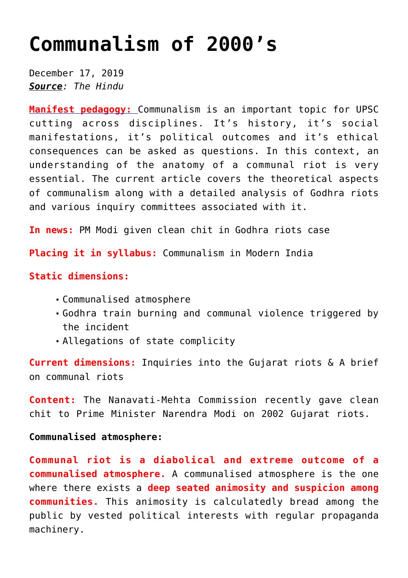# **[Communalism of 2000's](https://journalsofindia.com/communalism-of-2000s/)**

December 17, 2019 *Source: The Hindu*

**[Manifest pedagogy:](https://www.manifestias.com/2018/11/05/manifest-pedagogy-looking-beyond-the-issue/)** Communalism is an important topic for UPSC cutting across disciplines. It's history, it's social manifestations, it's political outcomes and it's ethical consequences can be asked as questions. In this context, an understanding of the anatomy of a communal riot is very essential. The current article covers the theoretical aspects of communalism along with a detailed analysis of Godhra riots and various inquiry committees associated with it.

**In news:** PM Modi given clean chit in Godhra riots case

**Placing it in syllabus:** Communalism in Modern India

## **Static dimensions:**

- Communalised atmosphere
- Godhra train burning and communal violence triggered by the incident
- Allegations of state complicity

**Current dimensions:** Inquiries into the Gujarat riots & A brief on communal riots

**Content:** The Nanavati-Mehta Commission recently gave clean chit to Prime Minister Narendra Modi on 2002 Gujarat riots.

#### **Communalised atmosphere:**

**Communal riot is a diabolical and extreme outcome of a communalised atmosphere.** A communalised atmosphere is the one where there exists a **deep seated animosity and suspicion among communities.** This animosity is calculatedly bread among the public by vested political interests with regular propaganda machinery.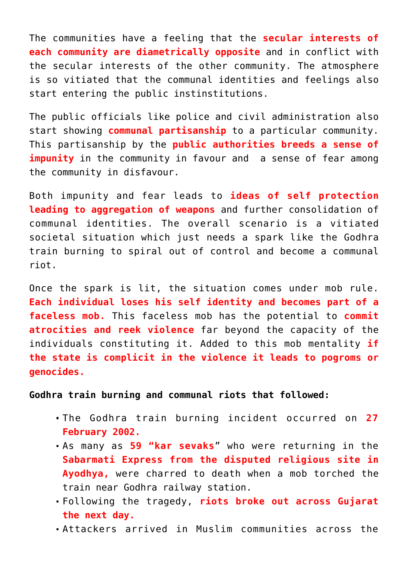The communities have a feeling that the **secular interests of each community are diametrically opposite** and in conflict with the secular interests of the other community. The atmosphere is so vitiated that the communal identities and feelings also start entering the public instinstitutions.

The public officials like police and civil administration also start showing **communal partisanship** to a particular community. This partisanship by the **public authorities breeds a sense of impunity** in the community in favour and a sense of fear among the community in disfavour.

Both impunity and fear leads to **ideas of self protection leading to aggregation of weapons** and further consolidation of communal identities. The overall scenario is a vitiated societal situation which just needs a spark like the Godhra train burning to spiral out of control and become a communal riot.

Once the spark is lit, the situation comes under mob rule. **Each individual loses his self identity and becomes part of a faceless mob.** This faceless mob has the potential to **commit atrocities and reek violence** far beyond the capacity of the individuals constituting it. Added to this mob mentality **if the state is complicit in the violence it leads to pogroms or genocides.** 

**Godhra train burning and communal riots that followed:**

- The Godhra train burning incident occurred on **27 February 2002.**
- As many as **59 "kar sevaks**" who were returning in the **Sabarmati Express from the disputed religious site in Ayodhya,** were charred to death when a mob torched the train near Godhra railway station.
- Following the tragedy, **riots broke out across Gujarat the next day.**
- Attackers arrived in Muslim communities across the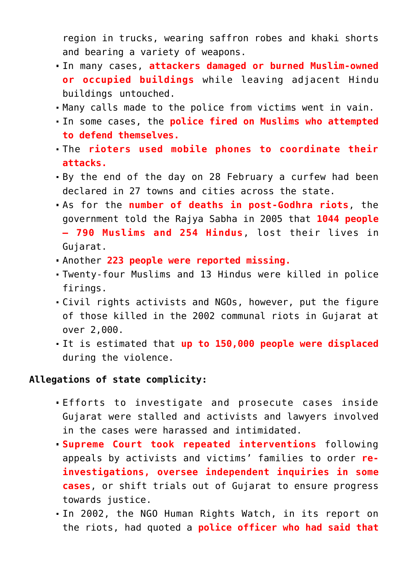region in trucks, wearing saffron robes and khaki shorts and bearing a variety of weapons.

- In many cases, **attackers damaged or burned Muslim-owned or occupied buildings** while leaving adjacent Hindu buildings untouched.
- Many calls made to the police from victims went in vain.
- In some cases, the **police fired on Muslims who attempted to defend themselves.**
- The **rioters used mobile phones to coordinate their attacks.**
- By the end of the day on 28 February a curfew had been declared in 27 towns and cities across the state.
- As for the **number of deaths in post-Godhra riots**, the government told the Rajya Sabha in 2005 that **1044 people – 790 Muslims and 254 Hindus**, lost their lives in Gujarat.
- Another **223 people were reported missing.**
- Twenty-four Muslims and 13 Hindus were killed in police firings.
- Civil rights activists and NGOs, however, put the figure of those killed in the 2002 communal riots in Gujarat at over 2,000.
- It is estimated that **up to 150,000 people were displaced** during the violence.

#### **Allegations of state complicity:**

- Efforts to investigate and prosecute cases inside Gujarat were stalled and activists and lawyers involved in the cases were harassed and intimidated.
- **Supreme Court took repeated interventions** following appeals by activists and victims' families to order **reinvestigations, oversee independent inquiries in some cases**, or shift trials out of Gujarat to ensure progress towards justice.
- In 2002, the NGO Human Rights Watch, in its report on the riots, had quoted a **police officer who had said that**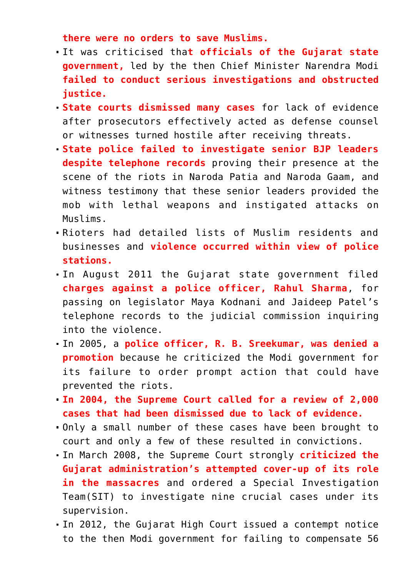**there were no orders to save Muslims.** 

- It was criticised tha**t officials of the Gujarat state government,** led by the then Chief Minister Narendra Modi **failed to conduct serious investigations and obstructed justice.**
- **State courts dismissed many cases** for lack of evidence after prosecutors effectively acted as defense counsel or witnesses turned hostile after receiving threats.
- **State police failed to investigate senior BJP leaders despite telephone records** proving their presence at the scene of the riots in Naroda Patia and Naroda Gaam, and witness testimony that these senior leaders provided the mob with lethal weapons and instigated attacks on Muslims.
- Rioters had detailed lists of Muslim residents and businesses and **violence occurred within view of police stations.**
- In August 2011 the Gujarat state government filed **charges against a police officer, Rahul Sharma**, for passing on legislator Maya Kodnani and Jaideep Patel's telephone records to the judicial commission inquiring into the violence.
- In 2005, a **police officer, R. B. Sreekumar, was denied a promotion** because he criticized the Modi government for its failure to order prompt action that could have prevented the riots.
- **In 2004, the Supreme Court called for a review of 2,000 cases that had been dismissed due to lack of evidence.**
- Only a small number of these cases have been brought to court and only a few of these resulted in convictions.
- In March 2008, the Supreme Court strongly **criticized the Gujarat administration's attempted cover-up of its role in the massacres** and ordered a Special Investigation Team(SIT) to investigate nine crucial cases under its supervision.
- In 2012, the Gujarat High Court issued a contempt notice to the then Modi government for failing to compensate 56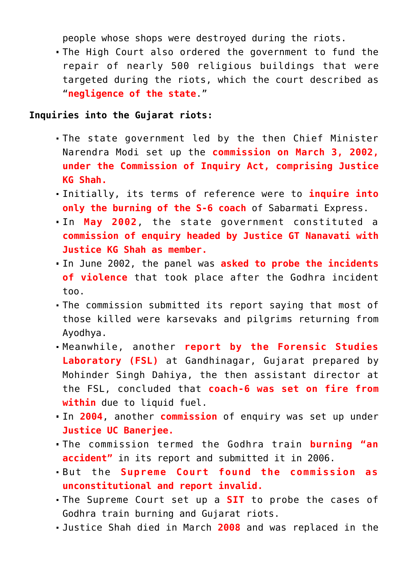people whose shops were destroyed during the riots.

The High Court also ordered the government to fund the repair of nearly 500 religious buildings that were targeted during the riots, which the court described as "**negligence of the state**."

#### **Inquiries into the Gujarat riots:**

- The state government led by the then Chief Minister Narendra Modi set up the **commission on March 3, 2002, under the Commission of Inquiry Act, comprising Justice KG Shah.**
- Initially, its terms of reference were to **inquire into only the burning of the S-6 coach** of Sabarmati Express.
- In **May 2002**, the state government constituted a **commission of enquiry headed by Justice GT Nanavati with Justice KG Shah as member.**
- In June 2002, the panel was **asked to probe the incidents of violence** that took place after the Godhra incident too.
- The commission submitted its report saying that most of those killed were karsevaks and pilgrims returning from Ayodhya.
- Meanwhile, another **report by the Forensic Studies Laboratory (FSL)** at Gandhinagar, Gujarat prepared by Mohinder Singh Dahiya, the then assistant director at the FSL, concluded that **coach-6 was set on fire from within** due to liquid fuel.
- In **2004**, another **commission** of enquiry was set up under **Justice UC Banerjee.**
- The commission termed the Godhra train **burning "an accident"** in its report and submitted it in 2006.
- But the **Supreme Court found the commission as unconstitutional and report invalid.**
- The Supreme Court set up a **SIT** to probe the cases of Godhra train burning and Gujarat riots.
- Justice Shah died in March **2008** and was replaced in the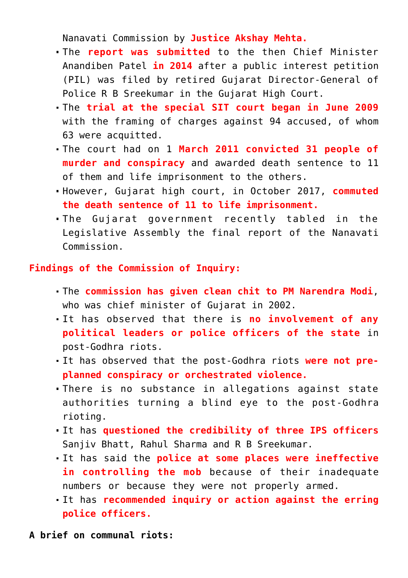Nanavati Commission by **Justice Akshay Mehta.**

- The **report was submitted** to the then Chief Minister Anandiben Patel **in 2014** after a public interest petition (PIL) was filed by retired Gujarat Director-General of Police R B Sreekumar in the Gujarat High Court.
- The **trial at the special SIT court began in June 2009** with the framing of charges against 94 accused, of whom 63 were acquitted.
- The court had on 1 **March 2011 convicted 31 people of murder and conspiracy** and awarded death sentence to 11 of them and life imprisonment to the others.
- However, Gujarat high court, in October 2017, **commuted the death sentence of 11 to life imprisonment.**
- The Gujarat government recently tabled in the Legislative Assembly the final report of the Nanavati Commission.

### **Findings of the Commission of Inquiry:**

- The **commission has given clean chit to PM Narendra Modi**, who was chief minister of Guiarat in 2002.
- It has observed that there is **no involvement of any political leaders or police officers of the state** in post-Godhra riots.
- It has observed that the post-Godhra riots **were not preplanned conspiracy or orchestrated violence.**
- There is no substance in allegations against state authorities turning a blind eye to the post-Godhra rioting.
- It has **questioned the credibility of three IPS officers** Sanjiv Bhatt, Rahul Sharma and R B Sreekumar.
- It has said the **police at some places were ineffective in controlling the mob** because of their inadequate numbers or because they were not properly armed.
- It has **recommended inquiry or action against the erring police officers.**

**A brief on communal riots:**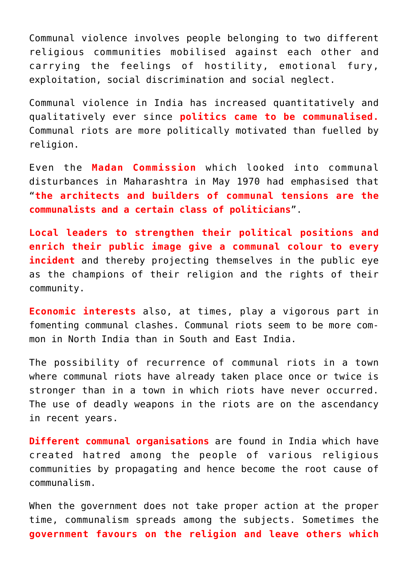Communal violence involves people belonging to two different religious communities mobilised against each other and carrying the feelings of hostility, emotional fury, exploitation, social discrimination and social neglect.

Communal violence in India has increased quantitatively and qualitatively ever since **politics came to be communalised.** Communal riots are more politically motivated than fuelled by religion.

Even the **Madan Commission** which looked into communal disturbances in Maharashtra in May 1970 had emphasised that "**the architects and builders of communal tensions are the communalists and a certain class of politicians**".

**Local leaders to strengthen their political positions and enrich their public image give a communal colour to every incident** and thereby projecting themselves in the public eye as the champions of their religion and the rights of their community.

**Economic interests** also, at times, play a vigorous part in fomenting communal clashes. Communal riots seem to be more common in North India than in South and East India.

The possibility of recurrence of communal riots in a town where communal riots have already taken place once or twice is stronger than in a town in which riots have never occurred. The use of deadly weapons in the riots are on the ascendancy in recent years.

**Different communal organisations** are found in India which have created hatred among the people of various religious communities by propagating and hence become the root cause of communalism.

When the government does not take proper action at the proper time, communalism spreads among the subjects. Sometimes the **government favours on the religion and leave others which**